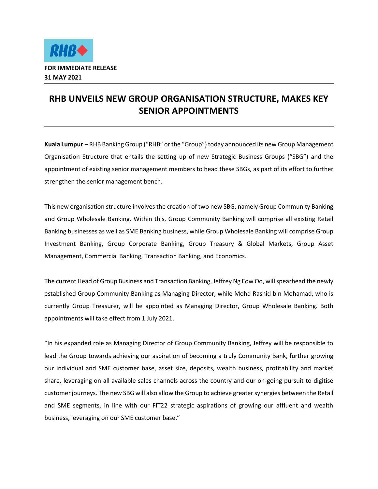

## **RHB UNVEILS NEW GROUP ORGANISATION STRUCTURE, MAKES KEY SENIOR APPOINTMENTS**

**Kuala Lumpur** – RHB Banking Group ("RHB" or the "Group") today announced its new Group Management Organisation Structure that entails the setting up of new Strategic Business Groups ("SBG") and the appointment of existing senior management members to head these SBGs, as part of its effort to further strengthen the senior management bench.

This new organisation structure involves the creation of two new SBG, namely Group Community Banking and Group Wholesale Banking. Within this, Group Community Banking will comprise all existing Retail Banking businesses as well as SME Banking business, while Group Wholesale Banking will comprise Group Investment Banking, Group Corporate Banking, Group Treasury & Global Markets, Group Asset Management, Commercial Banking, Transaction Banking, and Economics.

The current Head of Group Business and Transaction Banking, Jeffrey Ng Eow Oo, will spearhead the newly established Group Community Banking as Managing Director, while Mohd Rashid bin Mohamad, who is currently Group Treasurer, will be appointed as Managing Director, Group Wholesale Banking. Both appointments will take effect from 1 July 2021.

"In his expanded role as Managing Director of Group Community Banking, Jeffrey will be responsible to lead the Group towards achieving our aspiration of becoming a truly Community Bank, further growing our individual and SME customer base, asset size, deposits, wealth business, profitability and market share, leveraging on all available sales channels across the country and our on-going pursuit to digitise customer journeys. The new SBG will also allow the Group to achieve greater synergies between the Retail and SME segments, in line with our FIT22 strategic aspirations of growing our affluent and wealth business, leveraging on our SME customer base."